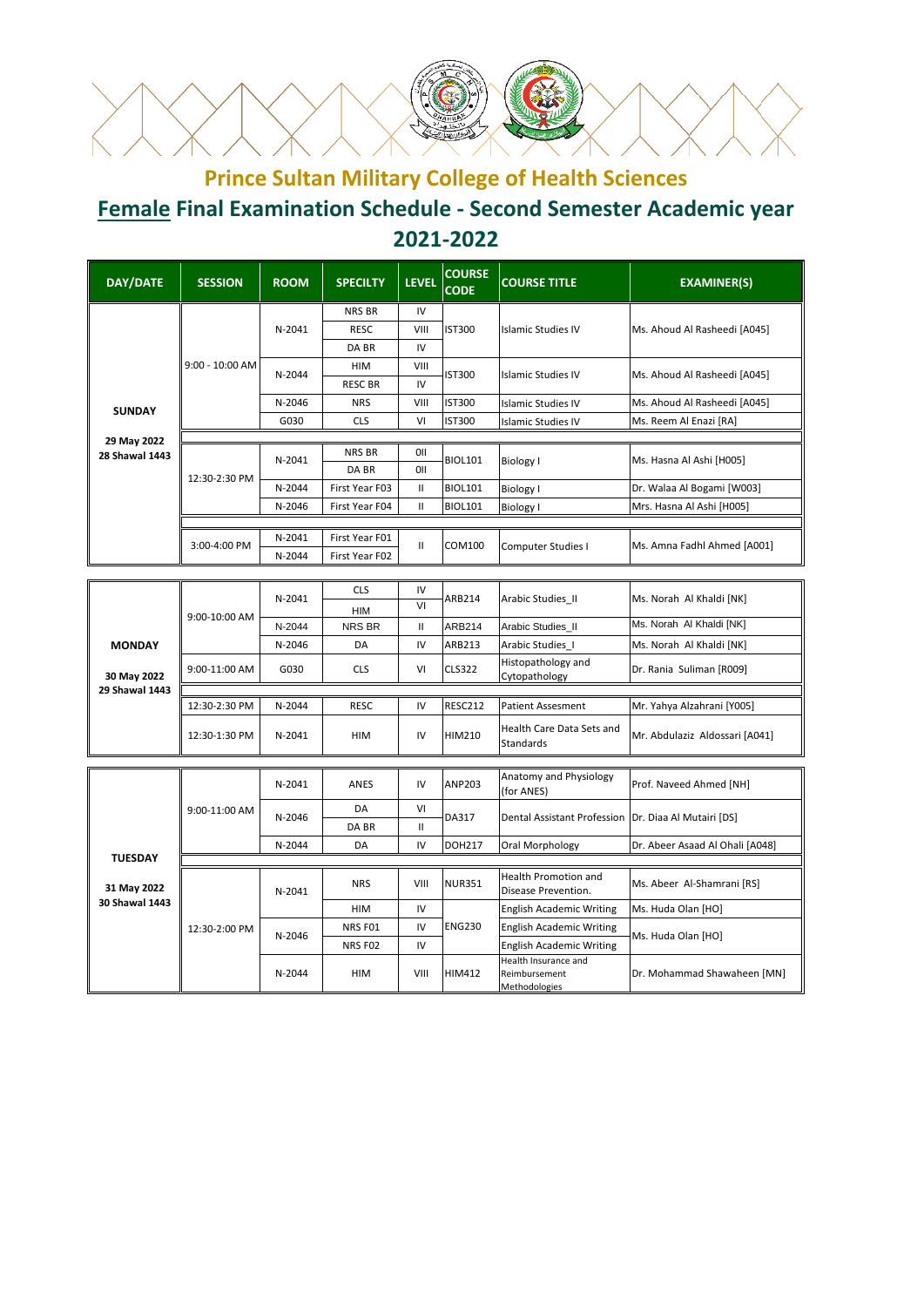

## **Prince Sultan Military College of Health Sciences Female Final Examination Schedule - Second Semester Academic year 2021-2022**

| <b>DAY/DATE</b>               | <b>SESSION</b>    | <b>ROOM</b> | <b>SPECILTY</b> | <b>LEVEL</b>      | <b>COURSE</b><br><b>CODE</b> | <b>COURSE TITLE</b>                                    | <b>EXAMINER(S)</b>              |
|-------------------------------|-------------------|-------------|-----------------|-------------------|------------------------------|--------------------------------------------------------|---------------------------------|
|                               |                   |             | NRS BR          | IV                | <b>IST300</b>                |                                                        | Ms. Ahoud Al Rasheedi [A045]    |
|                               |                   | N-2041      | <b>RESC</b>     | VIII              |                              | <b>Islamic Studies IV</b>                              |                                 |
|                               |                   |             | DA BR           | IV                |                              |                                                        |                                 |
|                               | $9:00 - 10:00$ AM | N-2044      | <b>HIM</b>      | VIII              | <b>IST300</b>                | <b>Islamic Studies IV</b>                              | Ms. Ahoud Al Rasheedi [A045]    |
|                               |                   |             | <b>RESC BR</b>  | IV                |                              |                                                        |                                 |
| <b>SUNDAY</b>                 |                   | N-2046      | <b>NRS</b>      | VIII              | <b>IST300</b>                | <b>Islamic Studies IV</b>                              | Ms. Ahoud Al Rasheedi [A045]    |
|                               |                   | G030        | <b>CLS</b>      | VI                | <b>IST300</b>                | <b>Islamic Studies IV</b>                              | Ms. Reem Al Enazi [RA]          |
| 29 May 2022                   |                   |             |                 |                   |                              |                                                        |                                 |
| <b>28 Shawal 1443</b>         |                   | N-2041      | NRS BR<br>DA BR | 0II<br><b>OII</b> | <b>BIOL101</b>               | Biology I                                              | Ms. Hasna Al Ashi [H005]        |
|                               | 12:30-2:30 PM     | N-2044      | First Year F03  | Ш                 | <b>BIOL101</b>               |                                                        | Dr. Walaa Al Bogami [W003]      |
|                               |                   | N-2046      | First Year F04  | Ш                 | <b>BIOL101</b>               | <b>Biology I</b><br><b>Biology I</b>                   | Mrs. Hasna Al Ashi [H005]       |
|                               |                   |             |                 |                   |                              |                                                        |                                 |
|                               |                   | N-2041      | First Year F01  |                   |                              | Computer Studies I                                     | Ms. Amna Fadhl Ahmed [A001]     |
|                               | 3:00-4:00 PM      | N-2044      | First Year F02  | Ш                 | COM100                       |                                                        |                                 |
|                               |                   |             |                 |                   |                              |                                                        |                                 |
|                               | 9:00-10:00 AM     | N-2041      | <b>CLS</b>      | IV                | ARB214                       | Arabic Studies_II                                      | Ms. Norah Al Khaldi [NK]        |
|                               |                   |             | HIM             | $\overline{VI}$   |                              |                                                        |                                 |
|                               |                   | N-2044      | NRS BR          | Ш                 | ARB214                       | Arabic Studies_II                                      | Ms. Norah Al Khaldi [NK]        |
| <b>MONDAY</b>                 |                   | N-2046      | DA              | IV                | ARB213                       | Arabic Studies I                                       | Ms. Norah Al Khaldi [NK]        |
| 30 May 2022                   | 9:00-11:00 AM     | G030        | <b>CLS</b>      | VI                | <b>CLS322</b>                | Histopathology and<br>Cytopathology                    | Dr. Rania Suliman [R009]        |
| 29 Shawal 1443                | 12:30-2:30 PM     | N-2044      | <b>RESC</b>     | IV                | <b>RESC212</b>               | <b>Patient Assesment</b>                               | Mr. Yahya Alzahrani [Y005]      |
|                               | 12:30-1:30 PM     | N-2041      | HIM             | IV                | HIM210                       | Health Care Data Sets and                              | Mr. Abdulaziz Aldossari [A041]  |
|                               |                   |             |                 |                   |                              | <b>Standards</b>                                       |                                 |
|                               |                   | N-2041      | ANES            | IV                | <b>ANP203</b>                | Anatomy and Physiology<br>(for ANES)                   | Prof. Naveed Ahmed [NH]         |
|                               | 9:00-11:00 AM     | N-2046      | DA              | VI                | DA317                        | Dental Assistant Profession   Dr. Diaa Al Mutairi [DS] |                                 |
|                               |                   |             | DA BR           | $\mathbf{II}$     |                              |                                                        |                                 |
|                               |                   | N-2044      | DA              | IV                | <b>DOH217</b>                | Oral Morphology                                        | Dr. Abeer Asaad Al Ohali [A048] |
| <b>TUESDAY</b>                |                   |             |                 |                   |                              |                                                        |                                 |
| 31 May 2022<br>30 Shawal 1443 | 12:30-2:00 PM     | N-2041      | <b>NRS</b>      | VIII              | <b>NUR351</b>                | <b>Health Promotion and</b><br>Disease Prevention.     | Ms. Abeer Al-Shamrani [RS]      |
|                               |                   |             | <b>HIM</b>      | IV                |                              | <b>English Academic Writing</b>                        | Ms. Huda Olan [HO]              |
|                               |                   | N-2046      | NRS F01         | IV                | <b>ENG230</b>                | <b>English Academic Writing</b>                        | Ms. Huda Olan [HO]              |
|                               |                   |             | NRS FO2         | IV                |                              | <b>English Academic Writing</b>                        |                                 |
|                               |                   | N-2044      | <b>HIM</b>      | VIII              | <b>HIM412</b>                | Health Insurance and<br>Reimbursement                  | Dr. Mohammad Shawaheen [MN]     |

Methodologies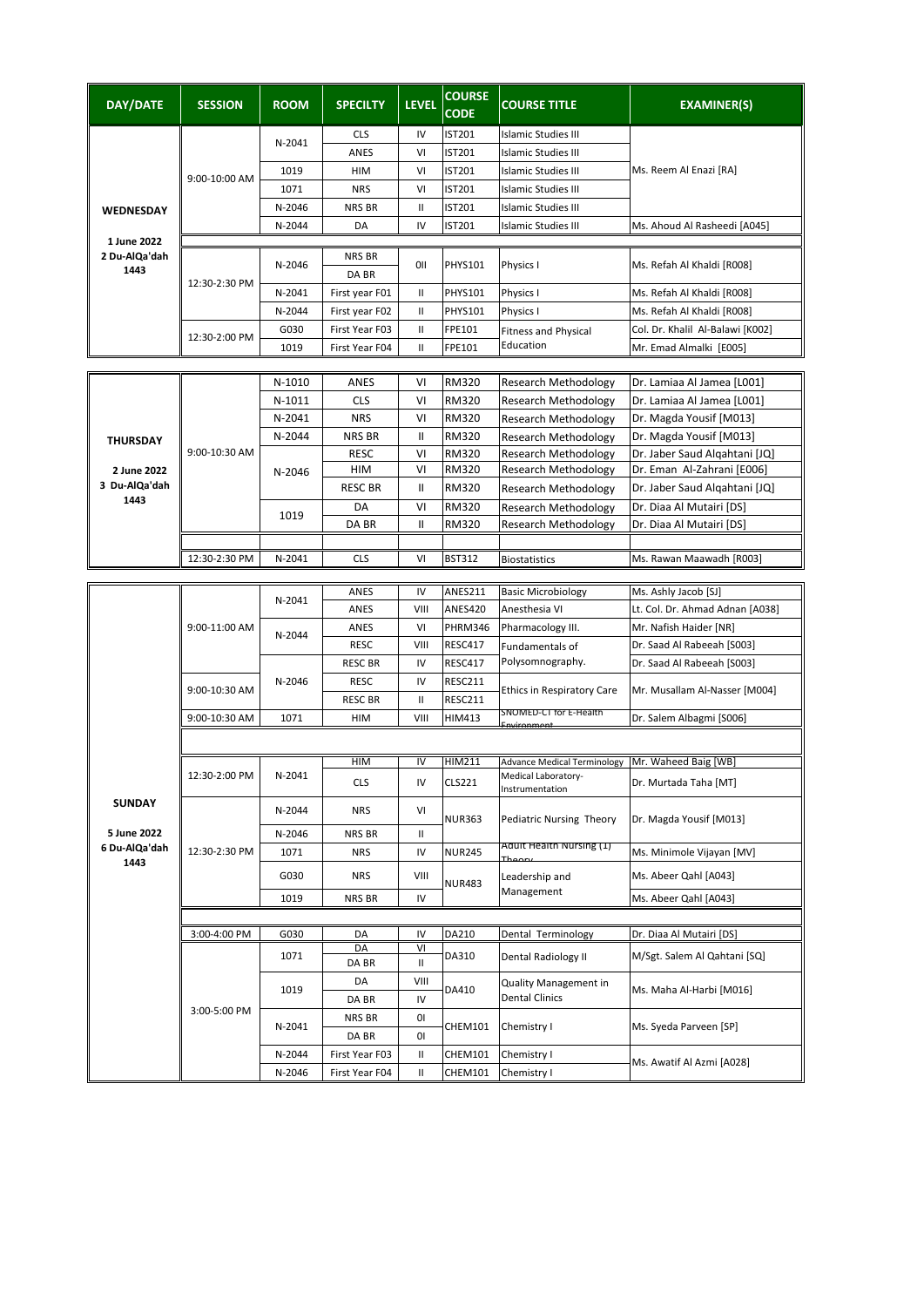| <b>DAY/DATE</b>                      | <b>SESSION</b> | <b>ROOM</b> | <b>SPECILTY</b>    | <b>LEVEL</b>  | <b>COURSE</b><br><b>CODE</b> | <b>COURSE TITLE</b>                                        | <b>EXAMINER(S)</b>                                          |
|--------------------------------------|----------------|-------------|--------------------|---------------|------------------------------|------------------------------------------------------------|-------------------------------------------------------------|
|                                      |                |             | <b>CLS</b>         | IV            | <b>IST201</b>                | <b>Islamic Studies III</b>                                 |                                                             |
|                                      |                | N-2041      | ANES               | VI            | IST201                       | <b>Islamic Studies III</b>                                 | Ms. Reem Al Enazi [RA]                                      |
|                                      | 9:00-10:00 AM  | 1019        | HIM                | VI            | IST201                       | <b>Islamic Studies III</b>                                 |                                                             |
|                                      |                | 1071        | <b>NRS</b>         | VI            | IST201                       | <b>Islamic Studies III</b>                                 |                                                             |
| WEDNESDAY                            |                | N-2046      | NRS BR             | $\mathbf{II}$ | IST201                       | <b>Islamic Studies III</b>                                 |                                                             |
|                                      |                | N-2044      | DA                 | IV            | <b>IST201</b>                | <b>Islamic Studies III</b>                                 | Ms. Ahoud Al Rasheedi [A045]                                |
| 1 June 2022<br>2 Du-AlQa'dah<br>1443 |                | N-2046      | NRS BR<br>DA BR    | 011           | <b>PHYS101</b>               | Physics I                                                  | Ms. Refah Al Khaldi [R008]                                  |
|                                      | 12:30-2:30 PM  | N-2041      | First year F01     | $\mathbf{I}$  | PHYS101                      | Physics I                                                  | Ms. Refah Al Khaldi [R008]                                  |
|                                      |                | N-2044      | First year F02     | $\mathbf{I}$  | <b>PHYS101</b>               | Physics I                                                  | Ms. Refah Al Khaldi [R008]                                  |
|                                      | 12:30-2:00 PM  | G030        | First Year F03     | $\mathbf{II}$ | FPE101                       | <b>Fitness and Physical</b>                                | Col. Dr. Khalil Al-Balawi [K002]                            |
|                                      |                | 1019        | First Year F04     | $\mathbf{II}$ | FPE101                       | Education                                                  | Mr. Emad Almalki [E005]                                     |
|                                      |                |             |                    |               |                              |                                                            |                                                             |
|                                      |                | N-1010      | <b>ANES</b>        | VI            | <b>RM320</b>                 | <b>Research Methodology</b>                                | Dr. Lamiaa Al Jamea [L001]                                  |
|                                      |                | N-1011      | <b>CLS</b>         | VI            | RM320                        | <b>Research Methodology</b>                                | Dr. Lamiaa Al Jamea [L001]                                  |
|                                      |                | N-2041      | <b>NRS</b>         | VI            | RM320                        | <b>Research Methodology</b>                                | Dr. Magda Yousif [M013]                                     |
| <b>THURSDAY</b>                      |                | N-2044      | <b>NRS BR</b>      | $\mathbf{II}$ | <b>RM320</b>                 | <b>Research Methodology</b>                                | Dr. Magda Yousif [M013]                                     |
|                                      | 9:00-10:30 AM  |             | <b>RESC</b><br>HIM | VI<br>VI      | RM320<br>RM320               | <b>Research Methodology</b><br><b>Research Methodology</b> | Dr. Jaber Saud Algahtani [JQ]<br>Dr. Eman Al-Zahrani [E006] |
| 2 June 2022<br>3 Du-AlQa'dah         |                | N-2046      | <b>RESC BR</b>     | Ш             | RM320                        | <b>Research Methodology</b>                                | Dr. Jaber Saud Algahtani [JQ]                               |
| 1443                                 |                |             |                    | VI            |                              |                                                            | Dr. Diaa Al Mutairi [DS]                                    |
|                                      |                | 1019        | DA<br>DA BR        | $\mathbf{II}$ | <b>RM320</b><br><b>RM320</b> | <b>Research Methodology</b><br>Research Methodology        | Dr. Diaa Al Mutairi [DS]                                    |
|                                      |                |             |                    |               |                              |                                                            |                                                             |
|                                      | 12:30-2:30 PM  | N-2041      | <b>CLS</b>         | VI            | <b>BST312</b>                | <b>Biostatistics</b>                                       | Ms. Rawan Maawadh [R003]                                    |
|                                      |                |             |                    |               |                              |                                                            |                                                             |
|                                      |                | N-2041      | ANES               | IV            | ANES211                      | <b>Basic Microbiology</b>                                  | Ms. Ashly Jacob [SJ]                                        |
|                                      |                |             | ANES               | VIII          | <b>ANES420</b>               | Anesthesia VI                                              | Lt. Col. Dr. Ahmad Adnan [A038]                             |
|                                      | 9:00-11:00 AM  | N-2044      | ANES               | VI            | PHRM346                      | Pharmacology III.                                          | Mr. Nafish Haider [NR]                                      |
|                                      |                |             | <b>RESC</b>        | VIII          | RESC417                      | Fundamentals of                                            | Dr. Saad Al Rabeeah [S003]                                  |
|                                      |                | N-2046      | <b>RESC BR</b>     | IV            | <b>RESC417</b>               | Polysomnography.                                           | Dr. Saad Al Rabeeah [S003]                                  |
|                                      | 9:00-10:30 AM  |             | <b>RESC</b>        | IV            | RESC211                      | Ethics in Respiratory Care                                 | Mr. Musallam Al-Nasser [M004]                               |
|                                      |                |             | <b>RESC BR</b>     | $\mathbf{II}$ | RESC211                      | SNOMED-C1 for E-Health                                     |                                                             |
|                                      | 9:00-10:30 AM  | 1071        | HIM                | VIII          | <b>HIM413</b>                | nvironment                                                 | Dr. Salem Albagmi [S006]                                    |
|                                      |                |             |                    |               |                              |                                                            |                                                             |
|                                      | 12:30-2:00 PM  |             | HIM                | IV            | <b>HIM211</b>                | <b>Advance Medical Terminology</b>                         | Mr. Waheed Baig [WB]                                        |
|                                      |                | N-2041      | <b>CLS</b>         | IV            | <b>CLS221</b>                | Medical Laboratory-<br>Instrumentation                     | Dr. Murtada Taha [MT]                                       |
| <b>SUNDAY</b>                        | 12:30-2:30 PM  | N-2044      | <b>NRS</b>         | VI            | <b>NUR363</b>                | Pediatric Nursing Theory<br>Adult Health Nursing (1)       | Dr. Magda Yousif [M013]                                     |
| 5 June 2022<br>6 Du-AlQa'dah         |                | N-2046      | NRS BR             | Ш             |                              |                                                            |                                                             |
| 1443                                 |                | 1071        | NRS                | IV            | <b>NUR245</b>                | Theory                                                     | Ms. Minimole Vijayan [MV]                                   |
|                                      |                | G030        | <b>NRS</b>         | VIII          | <b>NUR483</b>                | Leadership and<br>Management                               | Ms. Abeer Qahl [A043]                                       |
|                                      |                | 1019        | NRS BR             | IV            |                              |                                                            | Ms. Abeer Qahl [A043]                                       |
|                                      |                |             |                    |               |                              |                                                            |                                                             |
|                                      | 3:00-4:00 PM   | G030        | DA<br>DA           | IV<br>VI      | DA210                        | Dental Terminology                                         | Dr. Diaa Al Mutairi [DS]                                    |
|                                      | 3:00-5:00 PM   | 1071        | DA BR              | Ш             | DA310                        | Dental Radiology II                                        | M/Sgt. Salem Al Qahtani [SQ]                                |
|                                      |                | 1019        | DA                 | VIII          | DA410                        | <b>Quality Management in</b><br><b>Dental Clinics</b>      | Ms. Maha Al-Harbi [M016]                                    |
|                                      |                |             | DA BR              | IV            |                              |                                                            |                                                             |
|                                      |                | N-2041      | NRS BR             | 01            | <b>CHEM101</b>               | Chemistry I                                                | Ms. Syeda Parveen [SP]                                      |
|                                      |                |             | DA BR              | 01            |                              |                                                            |                                                             |
|                                      |                | N-2044      | First Year F03     | Ш             | CHEM101                      | Chemistry I                                                |                                                             |
|                                      |                | N-2046      | First Year F04     | Ш             | CHEM101                      | Chemistry I                                                | Ms. Awatif Al Azmi [A028]                                   |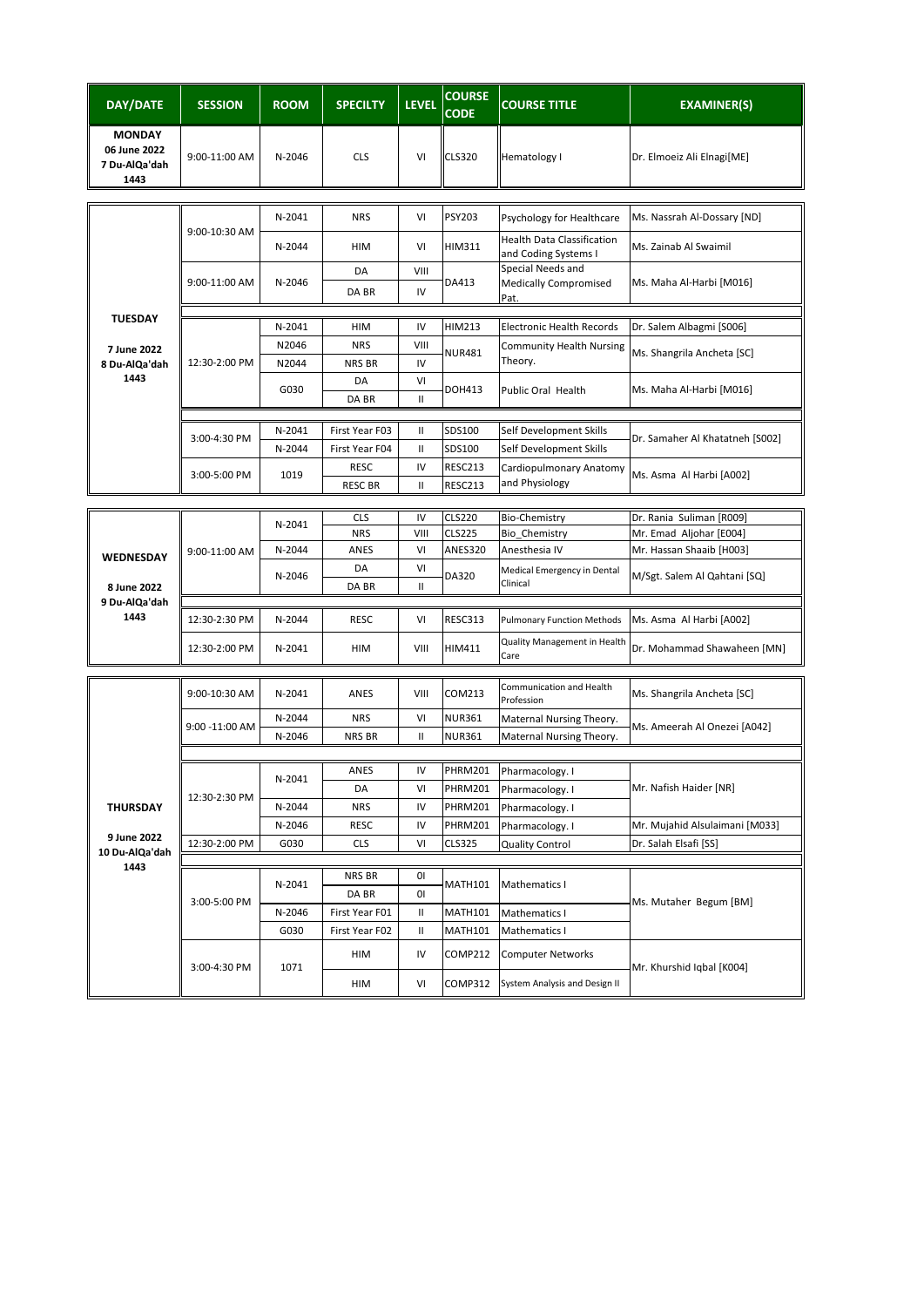| DAY/DATE                                               | <b>SESSION</b> | <b>ROOM</b> | <b>SPECILTY</b> | <b>LEVEL</b>  | <b>COURSE</b><br><b>CODE</b> | <b>COURSE TITLE</b>                                       | <b>EXAMINER(S)</b>              |
|--------------------------------------------------------|----------------|-------------|-----------------|---------------|------------------------------|-----------------------------------------------------------|---------------------------------|
| <b>MONDAY</b><br>06 June 2022<br>7 Du-AlQa'dah<br>1443 | 9:00-11:00 AM  | N-2046      | <b>CLS</b>      | VI            | <b>CLS320</b>                | Hematology I                                              | Dr. Elmoeiz Ali Elnagi[ME]      |
|                                                        |                |             |                 |               |                              |                                                           |                                 |
|                                                        | 9:00-10:30 AM  | N-2041      | <b>NRS</b>      | VI            | PSY203                       | Psychology for Healthcare                                 | Ms. Nassrah Al-Dossary [ND]     |
|                                                        |                | N-2044      | <b>HIM</b>      | VI            | <b>HIM311</b>                | Health Data Classification<br>and Coding Systems I        | Ms. Zainab Al Swaimil           |
|                                                        | 9:00-11:00 AM  | N-2046      | DA              | VIII          | DA413                        | Special Needs and<br><b>Medically Compromised</b><br>Pat. | Ms. Maha Al-Harbi [M016]        |
|                                                        |                |             | DA BR           | IV            |                              |                                                           |                                 |
| <b>TUESDAY</b>                                         |                | N-2041      | HIM             | IV            | <b>HIM213</b>                | <b>Electronic Health Records</b>                          | Dr. Salem Albagmi [S006]        |
| 7 June 2022                                            |                | N2046       | <b>NRS</b>      | VIII          |                              | <b>Community Health Nursing</b>                           |                                 |
| 8 Du-AlQa'dah                                          | 12:30-2:00 PM  | N2044       | NRS BR          | IV            | <b>NUR481</b>                | Theory.                                                   | Ms. Shangrila Ancheta [SC]      |
| 1443                                                   |                | G030        | DA              | VI            | <b>DOH413</b>                | <b>Public Oral Health</b>                                 | Ms. Maha Al-Harbi [M016]        |
|                                                        |                |             | DA BR           | Ш             |                              |                                                           |                                 |
|                                                        |                | N-2041      | First Year F03  | Ш             | SDS100                       | Self Development Skills                                   |                                 |
|                                                        | 3:00-4:30 PM   | N-2044      | First Year F04  | Ш             | SDS100                       | Self Development Skills                                   | Dr. Samaher Al Khatatneh [S002] |
|                                                        |                |             | <b>RESC</b>     | IV            | RESC213                      | Cardiopulmonary Anatomy                                   |                                 |
|                                                        | 3:00-5:00 PM   | 1019        | <b>RESC BR</b>  | Ш             | RESC213                      | and Physiology                                            | Ms. Asma Al Harbi [A002]        |
|                                                        |                |             |                 |               |                              |                                                           |                                 |
|                                                        |                | N-2041      | <b>CLS</b>      | IV            | <b>CLS220</b>                | <b>Bio-Chemistry</b>                                      | Dr. Rania Suliman [R009]        |
|                                                        |                |             | <b>NRS</b>      | VIII          | <b>CLS225</b>                | Bio Chemistry                                             | Mr. Emad Aljohar [E004]         |
| WEDNESDAY                                              | 9:00-11:00 AM  | N-2044      | ANES            | VI            | <b>ANES320</b>               | Anesthesia IV                                             | Mr. Hassan Shaaib [H003]        |
|                                                        |                | N-2046      | DA<br>DA BR     | VI<br>Ш       | DA320                        | Medical Emergency in Dental<br>Clinical                   | M/Sgt. Salem Al Qahtani [SQ]    |
| 8 June 2022<br>9 Du-AlQa'dah                           |                |             |                 |               |                              |                                                           |                                 |
| 1443                                                   | 12:30-2:30 PM  | N-2044      | <b>RESC</b>     | VI            | RESC313                      | <b>Pulmonary Function Methods</b>                         | Ms. Asma Al Harbi [A002]        |
|                                                        |                |             |                 |               |                              | Quality Management in Health                              |                                 |
|                                                        | 12:30-2:00 PM  | N-2041      | HIM             | VIII          | HIM411                       | Care                                                      | Dr. Mohammad Shawaheen [MN]     |
|                                                        | 9:00-10:30 AM  | N-2041      | ANES            | VIII          | COM213                       | Communication and Health<br>Profession                    | Ms. Shangrila Ancheta [SC]      |
|                                                        | 9:00 -11:00 AM | N-2044      | <b>NRS</b>      | VI            | <b>NUR361</b>                | Maternal Nursing Theory.                                  | Ms. Ameerah Al Onezei [A042]    |
|                                                        |                | N-2046      | NRS BR          | $\mathbf{II}$ | <b>NUR361</b>                | Maternal Nursing Theory.                                  |                                 |
|                                                        |                |             |                 |               |                              |                                                           |                                 |
|                                                        | 12:30-2:30 PM  | N-2041      | ANES            | IV            | <b>PHRM201</b>               | Pharmacology. I                                           | Mr. Nafish Haider [NR]          |
|                                                        |                |             | DA              | VI            | <b>PHRM201</b>               | Pharmacology. I                                           |                                 |
| THURSDAY                                               |                | N-2044      | <b>NRS</b>      | IV            | PHRM201                      | Pharmacology. I                                           |                                 |
| 9 June 2022                                            |                | N-2046      | RESC            | IV            | <b>PHRM201</b>               | Pharmacology. I                                           | Mr. Mujahid Alsulaimani [M033]  |
| 10 Du-AlQa'dah                                         | 12:30-2:00 PM  | G030        | <b>CLS</b>      | VI            | <b>CLS325</b>                | <b>Quality Control</b>                                    | Dr. Salah Elsafi [SS]           |
| 1443                                                   |                |             | NRS BR          | 01            |                              |                                                           |                                 |
|                                                        | 3:00-5:00 PM   | N-2041      | DA BR           | 01            | <b>MATH101</b>               | Mathematics I                                             | Ms. Mutaher Begum [BM]          |
|                                                        |                | N-2046      | First Year F01  | Ш             | <b>MATH101</b>               | Mathematics I                                             |                                 |
|                                                        |                | G030        | First Year F02  | II            | <b>MATH101</b>               | Mathematics I                                             |                                 |
|                                                        | 3:00-4:30 PM   | 1071        | HIM             | IV            | COMP212                      | <b>Computer Networks</b>                                  | Mr. Khurshid Iqbal [K004]       |
|                                                        |                |             | HIM             | VI            | <b>COMP312</b>               | System Analysis and Design II                             |                                 |